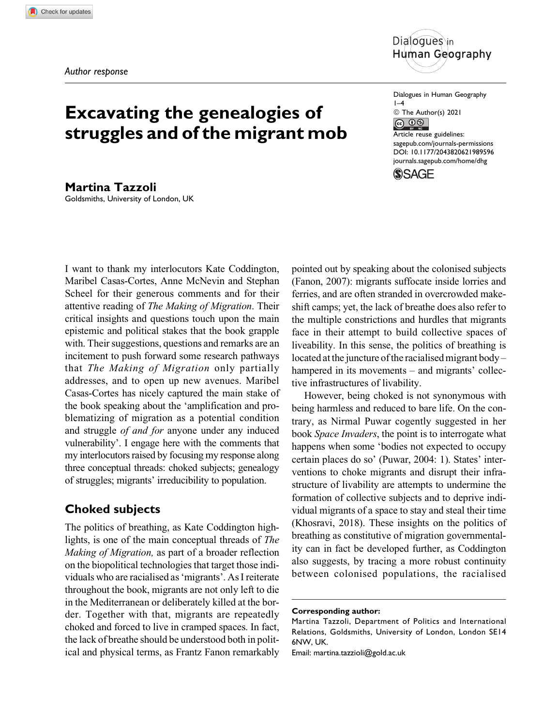

# **Excavating the genealogies of struggles and of the migrant mob**

**Martina Tazzoli** Goldsmiths, University of London, UK

I want to thank my interlocutors Kate Coddington, Maribel Casas-Cortes, Anne McNevin and Stephan Scheel for their generous comments and for their attentive reading of The Making of Migration. Their critical insights and questions touch upon the main epistemic and political stakes that the book grapple with. Their suggestions, questions and remarks are an incitement to push forward some research pathways that The Making of Migration only partially addresses, and to open up new avenues. Maribel Casas-Cortes has nicely captured the main stake of the book speaking about the 'amplification and problematizing of migration as a potential condition and struggle of and for anyone under any induced vulnerability'. I engage here with the comments that my interlocutors raised by focusing my response along three conceptual threads: choked subjects; genealogy of struggles; migrants' irreducibility to population.

## **Choked subjects**

The politics of breathing, as Kate Coddington highlights, is one of the main conceptual threads of The Making of Migration, as part of a broader reflection on the biopolitical technologies that target those individuals who are racialised as 'migrants'. As I reiterate throughout the book, migrants are not only left to die in the Mediterranean or deliberately killed at the border. Together with that, migrants are repeatedly choked and forced to live in cramped spaces. In fact, the lack of breathe should be understood both in political and physical terms, as Frantz Fanon remarkably Dialogues in Human Geography  $1-4$ © The Author(s) 2021  $\circledcirc$   $\circledcirc$ Article reuse guidelines: [sagepub.com/journals-permissions](https://sagepub.com/journals-permissions) [DOI: 10.1177/2043820621989596](https://doi.org/10.1177/2043820621989596) [journals.sagepub.com/home/dhg](http://journals.sagepub.com/home/dhg)

**SSAGE** 

pointed out by speaking about the colonised subjects (Fanon, 2007): migrants suffocate inside lorries and ferries, and are often stranded in overcrowded makeshift camps; yet, the lack of breathe does also refer to the multiple constrictions and hurdles that migrants face in their attempt to build collective spaces of liveability. In this sense, the politics of breathing is located at the juncture of the racialised migrant body – hampered in its movements – and migrants' collective infrastructures of livability.

However, being choked is not synonymous with being harmless and reduced to bare life. On the contrary, as Nirmal Puwar cogently suggested in her book Space Invaders, the point is to interrogate what happens when some 'bodies not expected to occupy certain places do so' (Puwar, 2004: 1). States' interventions to choke migrants and disrupt their infrastructure of livability are attempts to undermine the formation of collective subjects and to deprive individual migrants of a space to stay and steal their time (Khosravi, 2018). These insights on the politics of breathing as constitutive of migration governmentality can in fact be developed further, as Coddington also suggests, by tracing a more robust continuity between colonised populations, the racialised

**Corresponding author:**

Martina Tazzoli, Department of Politics and International Relations, Goldsmiths, University of London, London SE14 6NW, UK.

Email: [martina.tazzioli@gold.ac.uk](mailto:martina.tazzioli@gold.ac.uk)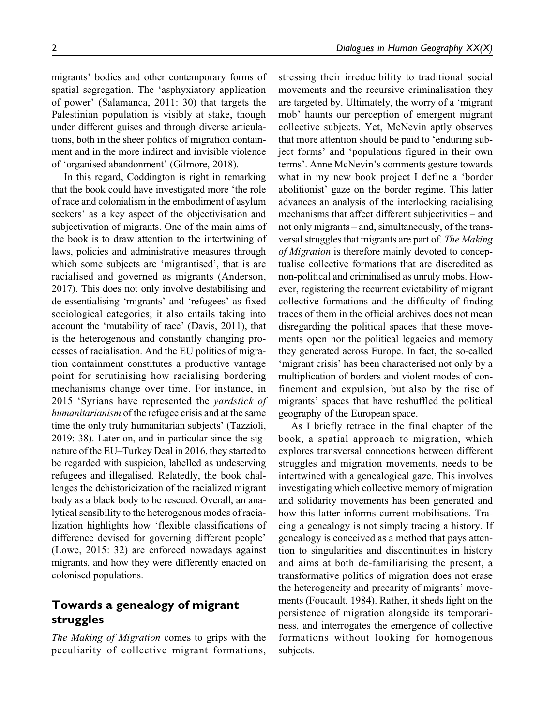migrants' bodies and other contemporary forms of spatial segregation. The 'asphyxiatory application of power' (Salamanca, 2011: 30) that targets the Palestinian population is visibly at stake, though under different guises and through diverse articulations, both in the sheer politics of migration containment and in the more indirect and invisible violence of 'organised abandonment' (Gilmore, 2018).

In this regard, Coddington is right in remarking that the book could have investigated more 'the role of race and colonialism in the embodiment of asylum seekers' as a key aspect of the objectivisation and subjectivation of migrants. One of the main aims of the book is to draw attention to the intertwining of laws, policies and administrative measures through which some subjects are 'migrantised', that is are racialised and governed as migrants (Anderson, 2017). This does not only involve destabilising and de-essentialising 'migrants' and 'refugees' as fixed sociological categories; it also entails taking into account the 'mutability of race' (Davis, 2011), that is the heterogenous and constantly changing processes of racialisation. And the EU politics of migration containment constitutes a productive vantage point for scrutinising how racialising bordering mechanisms change over time. For instance, in 2015 'Syrians have represented the yardstick of humanitarianism of the refugee crisis and at the same time the only truly humanitarian subjects' (Tazzioli, 2019: 38). Later on, and in particular since the signature of the EU–Turkey Deal in 2016, they started to be regarded with suspicion, labelled as undeserving refugees and illegalised. Relatedly, the book challenges the dehistoricization of the racialized migrant body as a black body to be rescued. Overall, an analytical sensibility to the heterogenous modes of racialization highlights how 'flexible classifications of difference devised for governing different people' (Lowe, 2015: 32) are enforced nowadays against migrants, and how they were differently enacted on colonised populations.

## **Towards a genealogy of migrant struggles**

The Making of Migration comes to grips with the peculiarity of collective migrant formations, stressing their irreducibility to traditional social movements and the recursive criminalisation they are targeted by. Ultimately, the worry of a 'migrant mob' haunts our perception of emergent migrant collective subjects. Yet, McNevin aptly observes that more attention should be paid to 'enduring subject forms' and 'populations figured in their own terms'. Anne McNevin's comments gesture towards what in my new book project I define a 'border abolitionist' gaze on the border regime. This latter advances an analysis of the interlocking racialising mechanisms that affect different subjectivities – and not only migrants – and, simultaneously, of the transversal struggles that migrants are part of. The Making of Migration is therefore mainly devoted to conceptualise collective formations that are discredited as non-political and criminalised as unruly mobs. However, registering the recurrent evictability of migrant collective formations and the difficulty of finding traces of them in the official archives does not mean disregarding the political spaces that these movements open nor the political legacies and memory they generated across Europe. In fact, the so-called 'migrant crisis' has been characterised not only by a multiplication of borders and violent modes of confinement and expulsion, but also by the rise of migrants' spaces that have reshuffled the political geography of the European space.

As I briefly retrace in the final chapter of the book, a spatial approach to migration, which explores transversal connections between different struggles and migration movements, needs to be intertwined with a genealogical gaze. This involves investigating which collective memory of migration and solidarity movements has been generated and how this latter informs current mobilisations. Tracing a genealogy is not simply tracing a history. If genealogy is conceived as a method that pays attention to singularities and discontinuities in history and aims at both de-familiarising the present, a transformative politics of migration does not erase the heterogeneity and precarity of migrants' movements (Foucault, 1984). Rather, it sheds light on the persistence of migration alongside its temporariness, and interrogates the emergence of collective formations without looking for homogenous subjects.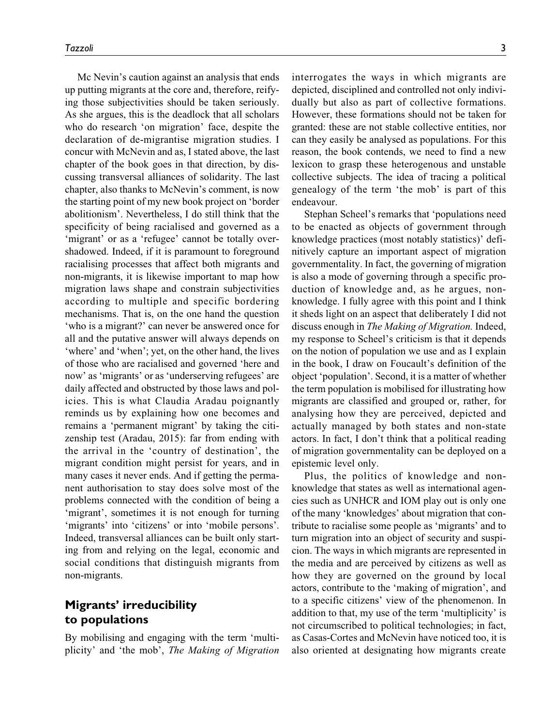Mc Nevin's caution against an analysis that ends up putting migrants at the core and, therefore, reifying those subjectivities should be taken seriously. As she argues, this is the deadlock that all scholars who do research 'on migration' face, despite the declaration of de-migrantise migration studies. I concur with McNevin and as, I stated above, the last chapter of the book goes in that direction, by discussing transversal alliances of solidarity. The last chapter, also thanks to McNevin's comment, is now the starting point of my new book project on 'border abolitionism'. Nevertheless, I do still think that the specificity of being racialised and governed as a 'migrant' or as a 'refugee' cannot be totally overshadowed. Indeed, if it is paramount to foreground racialising processes that affect both migrants and non-migrants, it is likewise important to map how migration laws shape and constrain subjectivities according to multiple and specific bordering mechanisms. That is, on the one hand the question 'who is a migrant?' can never be answered once for all and the putative answer will always depends on 'where' and 'when'; yet, on the other hand, the lives of those who are racialised and governed 'here and now' as 'migrants' or as 'underserving refugees' are daily affected and obstructed by those laws and policies. This is what Claudia Aradau poignantly reminds us by explaining how one becomes and remains a 'permanent migrant' by taking the citizenship test (Aradau, 2015): far from ending with the arrival in the 'country of destination', the migrant condition might persist for years, and in many cases it never ends. And if getting the permanent authorisation to stay does solve most of the problems connected with the condition of being a 'migrant', sometimes it is not enough for turning 'migrants' into 'citizens' or into 'mobile persons'. Indeed, transversal alliances can be built only starting from and relying on the legal, economic and social conditions that distinguish migrants from non-migrants.

## **Migrants' irreducibility to populations**

By mobilising and engaging with the term 'multiplicity' and 'the mob', The Making of Migration interrogates the ways in which migrants are depicted, disciplined and controlled not only individually but also as part of collective formations. However, these formations should not be taken for granted: these are not stable collective entities, nor can they easily be analysed as populations. For this reason, the book contends, we need to find a new lexicon to grasp these heterogenous and unstable collective subjects. The idea of tracing a political genealogy of the term 'the mob' is part of this endeavour.

Stephan Scheel's remarks that 'populations need to be enacted as objects of government through knowledge practices (most notably statistics)' definitively capture an important aspect of migration governmentality. In fact, the governing of migration is also a mode of governing through a specific production of knowledge and, as he argues, nonknowledge. I fully agree with this point and I think it sheds light on an aspect that deliberately I did not discuss enough in The Making of Migration. Indeed, my response to Scheel's criticism is that it depends on the notion of population we use and as I explain in the book, I draw on Foucault's definition of the object 'population'. Second, it is a matter of whether the term population is mobilised for illustrating how migrants are classified and grouped or, rather, for analysing how they are perceived, depicted and actually managed by both states and non-state actors. In fact, I don't think that a political reading of migration governmentality can be deployed on a epistemic level only.

Plus, the politics of knowledge and nonknowledge that states as well as international agencies such as UNHCR and IOM play out is only one of the many 'knowledges' about migration that contribute to racialise some people as 'migrants' and to turn migration into an object of security and suspicion. The ways in which migrants are represented in the media and are perceived by citizens as well as how they are governed on the ground by local actors, contribute to the 'making of migration', and to a specific citizens' view of the phenomenon. In addition to that, my use of the term 'multiplicity' is not circumscribed to political technologies; in fact, as Casas-Cortes and McNevin have noticed too, it is also oriented at designating how migrants create